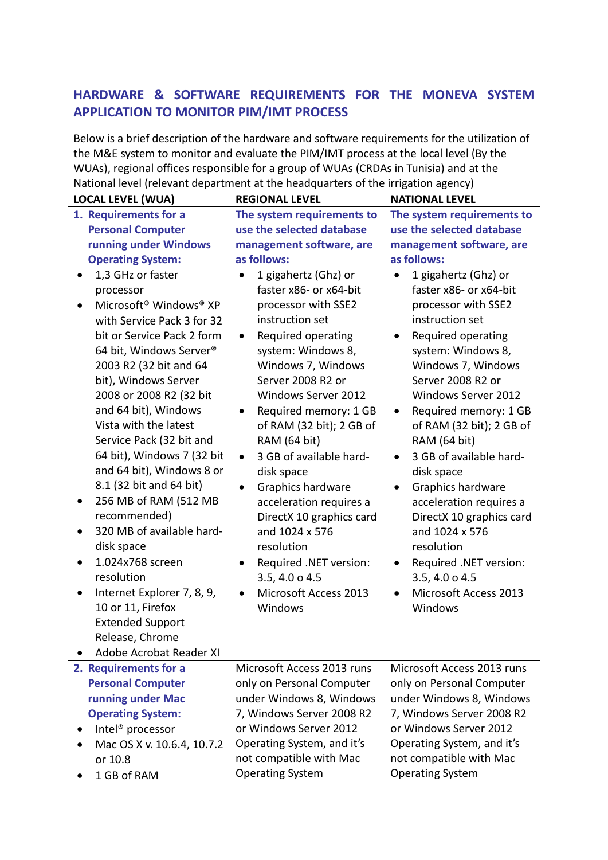## **HARDWARE & SOFTWARE REQUIREMENTS FOR THE MONEVA SYSTEM APPLICATION TO MONITOR PIM/IMT PROCESS**

Below is a brief description of the hardware and software requirements for the utilization of the M&E system to monitor and evaluate the PIM/IMT process at the local level (By the WUAs), regional offices responsible for a group of WUAs (CRDAs in Tunisia) and at the National level (relevant department at the headquarters of the irrigation agency)

| radonal iever freievant aepartment at the neadquarters or the impation agency,                                                                                                                                                                                                           |                                                                                                                                                                                                                                           |                                                                                                                                                                                                                                           |  |  |
|------------------------------------------------------------------------------------------------------------------------------------------------------------------------------------------------------------------------------------------------------------------------------------------|-------------------------------------------------------------------------------------------------------------------------------------------------------------------------------------------------------------------------------------------|-------------------------------------------------------------------------------------------------------------------------------------------------------------------------------------------------------------------------------------------|--|--|
| <b>LOCAL LEVEL (WUA)</b>                                                                                                                                                                                                                                                                 | <b>REGIONAL LEVEL</b>                                                                                                                                                                                                                     | <b>NATIONAL LEVEL</b>                                                                                                                                                                                                                     |  |  |
| 1. Requirements for a                                                                                                                                                                                                                                                                    | The system requirements to                                                                                                                                                                                                                | The system requirements to                                                                                                                                                                                                                |  |  |
| <b>Personal Computer</b>                                                                                                                                                                                                                                                                 | use the selected database                                                                                                                                                                                                                 | use the selected database                                                                                                                                                                                                                 |  |  |
| running under Windows                                                                                                                                                                                                                                                                    | management software, are                                                                                                                                                                                                                  | management software, are                                                                                                                                                                                                                  |  |  |
| <b>Operating System:</b>                                                                                                                                                                                                                                                                 | as follows:                                                                                                                                                                                                                               | as follows:                                                                                                                                                                                                                               |  |  |
| 1,3 GHz or faster                                                                                                                                                                                                                                                                        | 1 gigahertz (Ghz) or                                                                                                                                                                                                                      | 1 gigahertz (Ghz) or                                                                                                                                                                                                                      |  |  |
| processor                                                                                                                                                                                                                                                                                | faster x86- or x64-bit                                                                                                                                                                                                                    | faster x86- or x64-bit                                                                                                                                                                                                                    |  |  |
| Microsoft <sup>®</sup> Windows <sup>®</sup> XP                                                                                                                                                                                                                                           | processor with SSE2                                                                                                                                                                                                                       | processor with SSE2                                                                                                                                                                                                                       |  |  |
| with Service Pack 3 for 32                                                                                                                                                                                                                                                               | instruction set                                                                                                                                                                                                                           | instruction set                                                                                                                                                                                                                           |  |  |
| bit or Service Pack 2 form                                                                                                                                                                                                                                                               | Required operating<br>$\bullet$                                                                                                                                                                                                           | Required operating                                                                                                                                                                                                                        |  |  |
| 64 bit, Windows Server®                                                                                                                                                                                                                                                                  | system: Windows 8,                                                                                                                                                                                                                        | system: Windows 8,                                                                                                                                                                                                                        |  |  |
| 2003 R2 (32 bit and 64                                                                                                                                                                                                                                                                   | Windows 7, Windows                                                                                                                                                                                                                        | Windows 7, Windows                                                                                                                                                                                                                        |  |  |
| bit), Windows Server                                                                                                                                                                                                                                                                     | Server 2008 R2 or                                                                                                                                                                                                                         | Server 2008 R2 or                                                                                                                                                                                                                         |  |  |
| 2008 or 2008 R2 (32 bit                                                                                                                                                                                                                                                                  | Windows Server 2012                                                                                                                                                                                                                       | Windows Server 2012                                                                                                                                                                                                                       |  |  |
| and 64 bit), Windows                                                                                                                                                                                                                                                                     | Required memory: 1 GB<br>$\bullet$                                                                                                                                                                                                        | Required memory: 1 GB<br>$\bullet$                                                                                                                                                                                                        |  |  |
| Vista with the latest                                                                                                                                                                                                                                                                    | of RAM (32 bit); 2 GB of                                                                                                                                                                                                                  | of RAM (32 bit); 2 GB of                                                                                                                                                                                                                  |  |  |
| Service Pack (32 bit and                                                                                                                                                                                                                                                                 | RAM (64 bit)                                                                                                                                                                                                                              | RAM (64 bit)                                                                                                                                                                                                                              |  |  |
| 64 bit), Windows 7 (32 bit                                                                                                                                                                                                                                                               | 3 GB of available hard-<br>$\bullet$                                                                                                                                                                                                      | 3 GB of available hard-                                                                                                                                                                                                                   |  |  |
| and 64 bit), Windows 8 or                                                                                                                                                                                                                                                                | disk space                                                                                                                                                                                                                                | disk space                                                                                                                                                                                                                                |  |  |
| 8.1 (32 bit and 64 bit)                                                                                                                                                                                                                                                                  | Graphics hardware<br>$\bullet$                                                                                                                                                                                                            | Graphics hardware<br>$\bullet$                                                                                                                                                                                                            |  |  |
| 256 MB of RAM (512 MB                                                                                                                                                                                                                                                                    | acceleration requires a                                                                                                                                                                                                                   | acceleration requires a                                                                                                                                                                                                                   |  |  |
| recommended)                                                                                                                                                                                                                                                                             | DirectX 10 graphics card                                                                                                                                                                                                                  | DirectX 10 graphics card                                                                                                                                                                                                                  |  |  |
| 320 MB of available hard-                                                                                                                                                                                                                                                                | and 1024 x 576                                                                                                                                                                                                                            | and 1024 x 576                                                                                                                                                                                                                            |  |  |
| disk space                                                                                                                                                                                                                                                                               | resolution                                                                                                                                                                                                                                | resolution                                                                                                                                                                                                                                |  |  |
| 1.024x768 screen                                                                                                                                                                                                                                                                         | Required .NET version:                                                                                                                                                                                                                    | Required .NET version:<br>$\bullet$                                                                                                                                                                                                       |  |  |
| resolution                                                                                                                                                                                                                                                                               | 3.5, 4.0 o 4.5                                                                                                                                                                                                                            | 3.5, 4.0 o 4.5                                                                                                                                                                                                                            |  |  |
| Internet Explorer 7, 8, 9,                                                                                                                                                                                                                                                               | Microsoft Access 2013<br>٠                                                                                                                                                                                                                | Microsoft Access 2013<br>$\bullet$                                                                                                                                                                                                        |  |  |
|                                                                                                                                                                                                                                                                                          |                                                                                                                                                                                                                                           |                                                                                                                                                                                                                                           |  |  |
|                                                                                                                                                                                                                                                                                          |                                                                                                                                                                                                                                           |                                                                                                                                                                                                                                           |  |  |
|                                                                                                                                                                                                                                                                                          |                                                                                                                                                                                                                                           |                                                                                                                                                                                                                                           |  |  |
|                                                                                                                                                                                                                                                                                          |                                                                                                                                                                                                                                           |                                                                                                                                                                                                                                           |  |  |
|                                                                                                                                                                                                                                                                                          |                                                                                                                                                                                                                                           |                                                                                                                                                                                                                                           |  |  |
|                                                                                                                                                                                                                                                                                          |                                                                                                                                                                                                                                           |                                                                                                                                                                                                                                           |  |  |
|                                                                                                                                                                                                                                                                                          |                                                                                                                                                                                                                                           |                                                                                                                                                                                                                                           |  |  |
|                                                                                                                                                                                                                                                                                          |                                                                                                                                                                                                                                           |                                                                                                                                                                                                                                           |  |  |
|                                                                                                                                                                                                                                                                                          |                                                                                                                                                                                                                                           |                                                                                                                                                                                                                                           |  |  |
|                                                                                                                                                                                                                                                                                          |                                                                                                                                                                                                                                           |                                                                                                                                                                                                                                           |  |  |
|                                                                                                                                                                                                                                                                                          |                                                                                                                                                                                                                                           |                                                                                                                                                                                                                                           |  |  |
|                                                                                                                                                                                                                                                                                          |                                                                                                                                                                                                                                           |                                                                                                                                                                                                                                           |  |  |
| 10 or 11, Firefox<br><b>Extended Support</b><br>Release, Chrome<br>Adobe Acrobat Reader XI<br>2. Requirements for a<br><b>Personal Computer</b><br>running under Mac<br><b>Operating System:</b><br>Intel <sup>®</sup> processor<br>Mac OS X v. 10.6.4, 10.7.2<br>or 10.8<br>1 GB of RAM | Windows<br>Microsoft Access 2013 runs<br>only on Personal Computer<br>under Windows 8, Windows<br>7, Windows Server 2008 R2<br>or Windows Server 2012<br>Operating System, and it's<br>not compatible with Mac<br><b>Operating System</b> | Windows<br>Microsoft Access 2013 runs<br>only on Personal Computer<br>under Windows 8, Windows<br>7, Windows Server 2008 R2<br>or Windows Server 2012<br>Operating System, and it's<br>not compatible with Mac<br><b>Operating System</b> |  |  |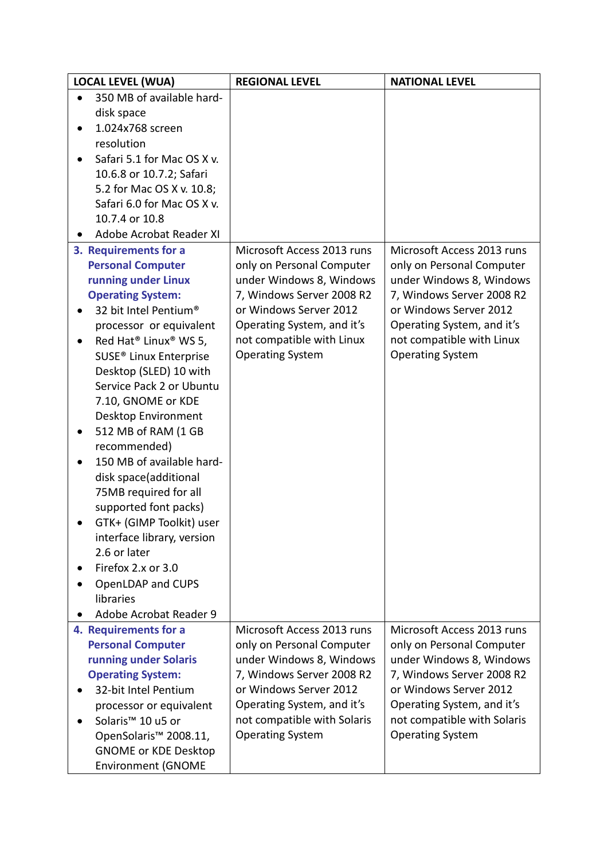| <b>LOCAL LEVEL (WUA)</b>                                                                                                                                                                                                                                                                                                                                                                                                                                                                                                                                                                                               | <b>REGIONAL LEVEL</b>                                                                                                                                                                                                            | <b>NATIONAL LEVEL</b>                                                                                                                                                                                                            |
|------------------------------------------------------------------------------------------------------------------------------------------------------------------------------------------------------------------------------------------------------------------------------------------------------------------------------------------------------------------------------------------------------------------------------------------------------------------------------------------------------------------------------------------------------------------------------------------------------------------------|----------------------------------------------------------------------------------------------------------------------------------------------------------------------------------------------------------------------------------|----------------------------------------------------------------------------------------------------------------------------------------------------------------------------------------------------------------------------------|
| 350 MB of available hard-                                                                                                                                                                                                                                                                                                                                                                                                                                                                                                                                                                                              |                                                                                                                                                                                                                                  |                                                                                                                                                                                                                                  |
| disk space                                                                                                                                                                                                                                                                                                                                                                                                                                                                                                                                                                                                             |                                                                                                                                                                                                                                  |                                                                                                                                                                                                                                  |
| 1.024x768 screen                                                                                                                                                                                                                                                                                                                                                                                                                                                                                                                                                                                                       |                                                                                                                                                                                                                                  |                                                                                                                                                                                                                                  |
| resolution                                                                                                                                                                                                                                                                                                                                                                                                                                                                                                                                                                                                             |                                                                                                                                                                                                                                  |                                                                                                                                                                                                                                  |
| Safari 5.1 for Mac OS X v.                                                                                                                                                                                                                                                                                                                                                                                                                                                                                                                                                                                             |                                                                                                                                                                                                                                  |                                                                                                                                                                                                                                  |
| 10.6.8 or 10.7.2; Safari                                                                                                                                                                                                                                                                                                                                                                                                                                                                                                                                                                                               |                                                                                                                                                                                                                                  |                                                                                                                                                                                                                                  |
| 5.2 for Mac OS X v. 10.8;                                                                                                                                                                                                                                                                                                                                                                                                                                                                                                                                                                                              |                                                                                                                                                                                                                                  |                                                                                                                                                                                                                                  |
| Safari 6.0 for Mac OS X v.                                                                                                                                                                                                                                                                                                                                                                                                                                                                                                                                                                                             |                                                                                                                                                                                                                                  |                                                                                                                                                                                                                                  |
| 10.7.4 or 10.8                                                                                                                                                                                                                                                                                                                                                                                                                                                                                                                                                                                                         |                                                                                                                                                                                                                                  |                                                                                                                                                                                                                                  |
| Adobe Acrobat Reader XI                                                                                                                                                                                                                                                                                                                                                                                                                                                                                                                                                                                                |                                                                                                                                                                                                                                  |                                                                                                                                                                                                                                  |
| 3. Requirements for a<br><b>Personal Computer</b><br>running under Linux<br><b>Operating System:</b><br>32 bit Intel Pentium®<br>processor or equivalent<br>Red Hat <sup>®</sup> Linux <sup>®</sup> WS 5,<br>SUSE <sup>®</sup> Linux Enterprise<br>Desktop (SLED) 10 with<br>Service Pack 2 or Ubuntu<br>7.10, GNOME or KDE<br>Desktop Environment<br>512 MB of RAM (1 GB<br>recommended)<br>150 MB of available hard-<br>disk space(additional<br>75MB required for all<br>supported font packs)<br>GTK+ (GIMP Toolkit) user<br>interface library, version<br>2.6 or later<br>Firefox 2.x or 3.0<br>OpenLDAP and CUPS | Microsoft Access 2013 runs<br>only on Personal Computer<br>under Windows 8, Windows<br>7, Windows Server 2008 R2<br>or Windows Server 2012<br>Operating System, and it's<br>not compatible with Linux<br><b>Operating System</b> | Microsoft Access 2013 runs<br>only on Personal Computer<br>under Windows 8, Windows<br>7, Windows Server 2008 R2<br>or Windows Server 2012<br>Operating System, and it's<br>not compatible with Linux<br><b>Operating System</b> |
| libraries                                                                                                                                                                                                                                                                                                                                                                                                                                                                                                                                                                                                              |                                                                                                                                                                                                                                  |                                                                                                                                                                                                                                  |
| Adobe Acrobat Reader 9                                                                                                                                                                                                                                                                                                                                                                                                                                                                                                                                                                                                 |                                                                                                                                                                                                                                  |                                                                                                                                                                                                                                  |
| 4. Requirements for a<br><b>Personal Computer</b><br>running under Solaris<br><b>Operating System:</b><br>32-bit Intel Pentium                                                                                                                                                                                                                                                                                                                                                                                                                                                                                         | Microsoft Access 2013 runs<br>only on Personal Computer<br>under Windows 8, Windows<br>7, Windows Server 2008 R2<br>or Windows Server 2012                                                                                       | Microsoft Access 2013 runs<br>only on Personal Computer<br>under Windows 8, Windows<br>7, Windows Server 2008 R2<br>or Windows Server 2012                                                                                       |
| processor or equivalent<br>Solaris <sup>™</sup> 10 u5 or<br>OpenSolaris <sup>™</sup> 2008.11,<br><b>GNOME or KDE Desktop</b><br><b>Environment (GNOME</b>                                                                                                                                                                                                                                                                                                                                                                                                                                                              | Operating System, and it's<br>not compatible with Solaris<br><b>Operating System</b>                                                                                                                                             | Operating System, and it's<br>not compatible with Solaris<br><b>Operating System</b>                                                                                                                                             |